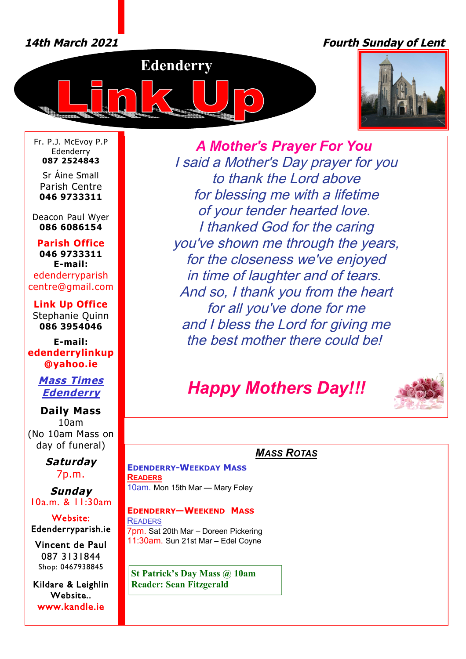# *14th March 2021 Fourth Sunday of Lent*





Fr. P.J. McEvoy P.P Edenderry **087 2524843**

Sr Áine Small Parish Centre **046 9733311**

Deacon Paul Wyer **086 6086154**

**Parish Office 046 9733311 E-mail:** edenderryparish [centre@gmail.com](mailto:centre@gmail.com)

**Link Up Office** Stephanie Quinn **086 3954046**

**E-mail: edenderrylinkup [@yahoo.ie](mailto:@yahoo.ie)**

> *Mass Times Edenderry*

**Daily Mass** 10am (No 10am Mass on day of funeral)

> *Saturday* 7p.m.

*Sunday* 10a.m. & 11:30am

**Website: Edenderryparish.ie**

**Vincent de Paul**  087 3131844 Shop: 0467938845

**Kildare & Leighlin Website.. [www.kandle.ie](http://www.kandle.ie)** 

*A Mother's Prayer For You I said a Mother's Day prayer for you to thank the Lord above for blessing me with a lifetime of your tender hearted love. I thanked God for the caring you've shown me through the years, for the closeness we've enjoyed in time of laughter and of tears. And so, I thank you from the heart for all you've done for me and I bless the Lord for giving me the best mother there could be!*

# *Happy Mothers Day!!!*



# *MASS ROTAS*

**EDENDERRY-WEEKDAY MASS READERS** 10am. Mon 15th Mar — Mary Foley

**EDENDERRY—WEEKEND MASS READERS** 7pm. Sat 20th Mar – Doreen Pickering 11:30am. Sun 21st Mar – Edel Coyne

**St Patrick's Day Mass @ 10am Reader: Sean Fitzgerald**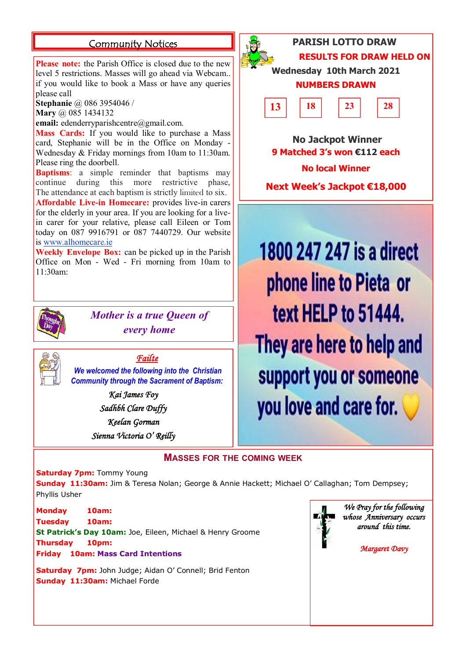## **Community Notices PARISH LOTTO DRAW**

**Please note:** the Parish Office is closed due to the new level 5 restrictions. Masses will go ahead via Webcam.. if you would like to book a Mass or have any queries please call

**Stephanie** @ 086 3954046 /

**Mary** @ 085 1434132

email: [edenderryparishcentre@gmail.com.](mailto:edenderryparishcentre@gmail.com.)

**Mass Cards:** If you would like to purchase a Mass card, Stephanie will be in the Office on Monday - Wednesday & Friday mornings from 10am to 11:30am. Please ring the doorbell.

**Baptisms**: a simple reminder that baptisms may continue during this more restrictive phase, The attendance at each baptism is strictly limited to six.

**Affordable Live-in Homecare:** provides live-in carers for the elderly in your area. If you are looking for a livein carer for your relative, please call Eileen or Tom today on 087 9916791 or 087 7440729. Our website is [www.alhomecare.ie](http://www.alhomecare.ie)

**Weekly Envelope Box:** can be picked up in the Parish Office on Mon - Wed - Fri morning from 10am to 11:30am:



*Mother is a true Queen of every home*

*Failte* 

*We welcomed the following into the Christian Community through the Sacrament of Baptism:*

> *Kai James Foy Sadhbh Clare Duffy Keelan Gorman Sienna Victoria O' Reilly*



**Wednesday 10th March 2021**

**RESULTS FOR DRAW HELD ON** 

 **No Jackpot Winner 9 Matched 3's won €112 each No local Winner**

**Next Week's Jackpot €18,000**

1800 247 247 is a direct phone line to Pieta or text HELP to 51444. They are here to help and support you or someone you love and care for.

### **MASSES FOR THE COMING WEEK**

**Saturday 7pm: Tommy Young** 

**Sunday 11:30am:** Jim & Teresa Nolan; George & Annie Hackett; Michael O' Callaghan; Tom Dempsey; Phyllis Usher

**Monday 10am: Tuesday 10am: St Patrick's Day 10am:** Joe, Eileen, Michael & Henry Groome **Thursday 10pm: Friday 10am: Mass Card Intentions**

**Saturday 7pm:** John Judge; Aidan O' Connell; Brid Fenton **Sunday 11:30am:** Michael Forde



*We Pray for the following whose Anniversary occurs around this time.* 

*Margaret Davy*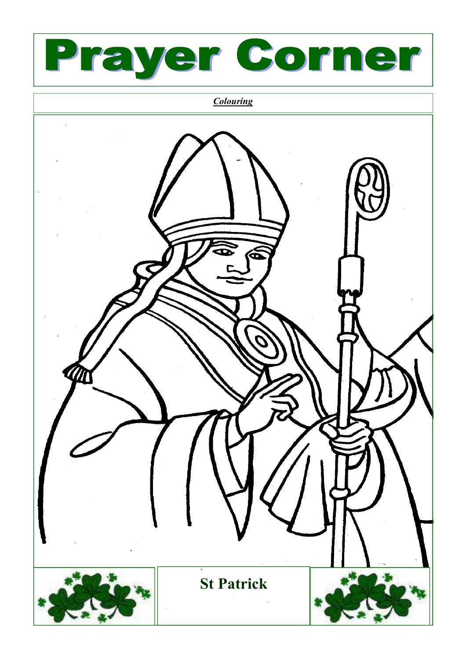